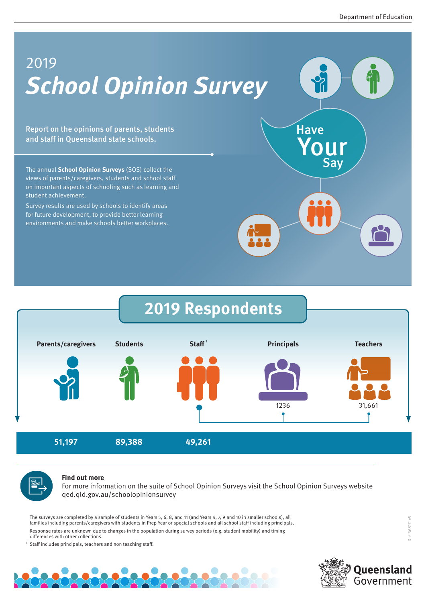# **School Opinion Survey**  2019

Report on the opinions of parents, students and staff in Queensland state schools.

The annual **School Opinion Surveys** (SOS) collect the views of parents/caregivers, students and school staff on important aspects of schooling such as learning and student achievement.

Survey results are used by schools to identify areas for future development, to provide better learning environments and make schools better workplaces.







#### **Find out more**

For more information on the suite of School Opinion Surveys visit the School Opinion Surveys website qed.qld.gov.au/schoolopinionsurvey

The surveys are completed by a sample of students in Years 5, 6, 8, and 11 (and Years 4, 7, 9 and 10 in smaller schools), all families including parents/caregivers with students in Prep Year or special schools and all school staff including principals. Response rates are unknown due to changes in the population during survey periods (e.g. student mobility) and timing differences with other collections.

<sup>1</sup> Staff includes principals, teachers and non teaching staff.



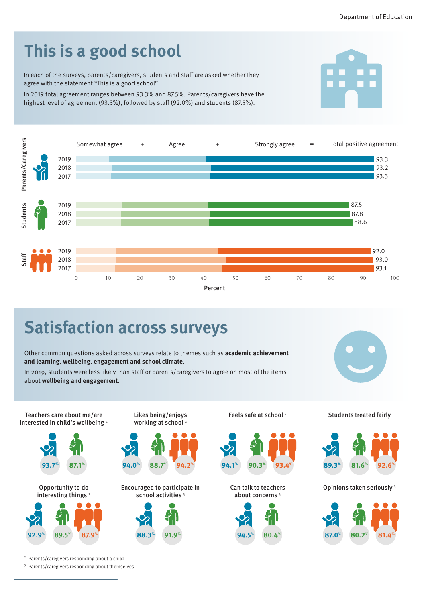

Percent

Other common questions asked across surveys relate to themes such as **academic achievement and learning**, **wellbeing**, **engagement and school climate**.

In 2019, students were less likely than staff or parents/caregivers to agree on most of the items about **wellbeing and engagement**.



Teachers care about me/are interested in child's wellbeing <sup>2</sup>





<sup>2</sup> Parents/caregivers responding about a child

<sup>3</sup> Parents/caregivers responding about themselves

Likes being/enjoys working at school<sup>2</sup>



Encouraged to participate in school activities<sup>3</sup>



Feels safe at school<sup>2</sup>



Can talk to teachers about concerns <sup>3</sup>



#### Students treated fairly



Opinions taken seriously <sup>3</sup>

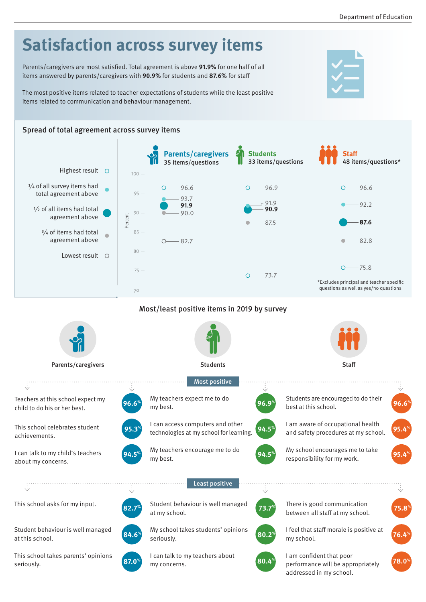#### **Satisfaction across survey items**  Parents/caregivers are most satisfied. Total agreement is above **91.9%** for one half of all items answered by parents/caregivers with **90.9%** for students and **87.6%** for staff The most positive items related to teacher expectations of students while the least positive items related to communication and behaviour management. Spread of total agreement across survey items **Parents/caregivers Students Staff** 35 items/questions 33 items/questions 48 items/questions\* Highest result  $\bigcirc$ 100 1/4 of all survey items had 96.6 96.9 96.6 total agreement above 95 93.7  $-91.9$  $-92.2$ **91.9** 1/<sub>2</sub> of all items had total **90.9** 90 90.0 agreement above Percent 87.5 **87.6** 3/4 of items had total 85 agreement above 82.8 82.7 80 Lowest result 0 75.8 75 73.7 \*Excludes principal and teacher specific questions as well as yes/no questions  $70 -$ Most/least positive items in 2019 by survey Parents/caregivers and the students Students Students Staff Staff Staff Staff Staff Staff Staff Staff Staff Staff Staff Staff Staff Staff Staff Staff Staff Staff Staff Staff Staff Staff Staff Staff Staff Staff Staff Staff Most positive  $\ddot{\cdot}$ My teachers expect me to do Students are encouraged to do their Teachers at this school expect my **96.6% one of the set at this school. 96.9 96.9 96.9 96.9 96.9 96.9 96.6 96.6 96.6 96.6 96.9** child to do his or her best. my best. I am aware of occupational health I can access computers and other This school celebrates student **95.3 195.4 195.4 195.4 199.9 199.9 199.5 199.5 199.9 199.9 199.9 199.9 199.9 199.9 199.9 199.9 199.9 199.9 199.9 199.9 199.9 199.9 199.9 199.9 199.9 199.9 199.9 199.9** and safety procedures at my school. achievements. My teachers encourage me to do My school encourages me to take I can talk to my child's teachers **94.5% order and the my best. 95.4% 94.5% 94.5% 95.4% 95.4% 95.4%** my best. about my concerns. . . . . . . . . . . . . . . . . . . . . Least positive This school asks for my input. Student behaviour is well managed There is good communication **82.7% at my school. 75.8%** *73.7% PHERE IS SOCCOMMEDIATED in the staff at my school. <b>75.8%* at my school.

Student behaviour is well managed at this school.

This school takes parents' opinions seriously.



seriously.

My school takes students' opinions



**84.6% 80.2% 76.4%**

I am confident that poor addressed in my school.

I feel that staff morale is positive at

my school.